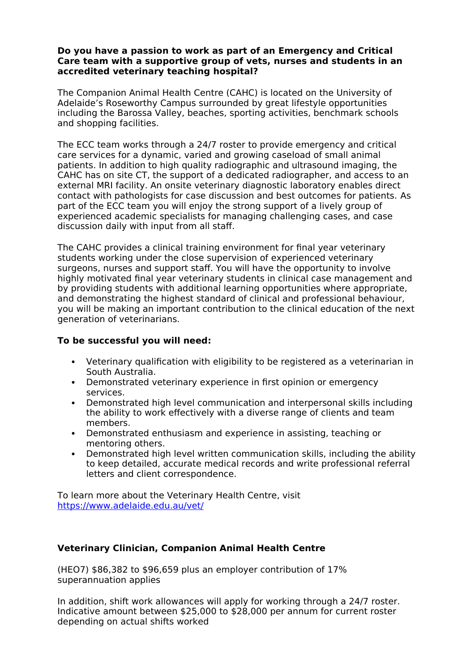### **Do you have a passion to work as part of an Emergency and Critical Care team with a supportive group of vets, nurses and students in an accredited veterinary teaching hospital?**

The Companion Animal Health Centre (CAHC) is located on the University of Adelaide's Roseworthy Campus surrounded by great lifestyle opportunities including the Barossa Valley, beaches, sporting activities, benchmark schools and shopping facilities.

The ECC team works through a 24/7 roster to provide emergency and critical care services for a dynamic, varied and growing caseload of small animal patients. In addition to high quality radiographic and ultrasound imaging, the CAHC has on site CT, the support of a dedicated radiographer, and access to an external MRI facility. An onsite veterinary diagnostic laboratory enables direct contact with pathologists for case discussion and best outcomes for patients. As part of the ECC team you will enjoy the strong support of a lively group of experienced academic specialists for managing challenging cases, and case discussion daily with input from all staff.

The CAHC provides a clinical training environment for final year veterinary students working under the close supervision of experienced veterinary surgeons, nurses and support staff. You will have the opportunity to involve highly motivated final year veterinary students in clinical case management and by providing students with additional learning opportunities where appropriate, and demonstrating the highest standard of clinical and professional behaviour, you will be making an important contribution to the clinical education of the next generation of veterinarians.

### **To be successful you will need:**

- Veterinary qualification with eligibility to be registered as a veterinarian in South Australia.
- Demonstrated veterinary experience in first opinion or emergency services.
- Demonstrated high level communication and interpersonal skills including the ability to work effectively with a diverse range of clients and team members.
- Demonstrated enthusiasm and experience in assisting, teaching or mentoring others.
- Demonstrated high level written communication skills, including the ability to keep detailed, accurate medical records and write professional referral letters and client correspondence.

To learn more about the Veterinary Health Centre, visit <https://www.adelaide.edu.au/vet/>

# **Veterinary Clinician, Companion Animal Health Centre**

(HEO7) \$86,382 to \$96,659 plus an employer contribution of 17% superannuation applies

In addition, shift work allowances will apply for working through a 24/7 roster. Indicative amount between \$25,000 to \$28,000 per annum for current roster depending on actual shifts worked